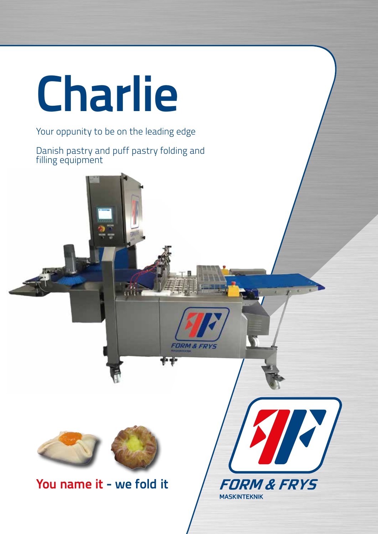

### Your oppunity to be on the leading edge

Danish pastry and puff pastry folding and filling equipment



**You name it - we fold it**



**FORM & FRYS**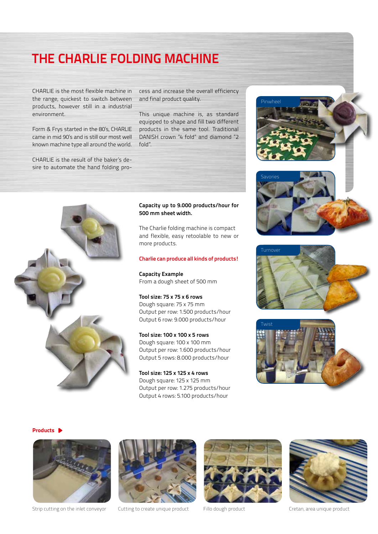## **THE CHARLIE FOLDING MACHINE**

CHARLIE is the most flexible machine in the range, quickest to switch between products, however still in a industrial environment.

Form & Frys started in the 80's, CHARLIE came in mid 90's and is still our most well known machine type all around the world.

CHARLIE is the result of the baker's desire to automate the hand folding process and increase the overall efficiency and final product quality.

This unique machine is, as standard equipped to shape and fill two different products in the same tool. Traditional DANISH crown "4 fold" and diamond "2 fold".



### **Capacity up to 9.000 products/hour for 500 mm sheet width.**

The Charlie folding machine is compact and flexible, easy retoolable to new or more products.

### **Charlie can produce all kinds of products!**

**Capacity Example** From a dough sheet of 500 mm

**Tool size: 75 x 75 x 6 rows** Dough square: 75 x 75 mm Output per row: 1.500 products/hour Output 6 row: 9.000 products/hour

**Tool size: 100 x 100 x 5 rows** Dough square: 100 x 100 mm Output per row: 1.600 products/hour Output 5 rows: 8.000 products/hour

**Tool size: 125 x 125 x 4 rows** Dough square: 125 x 125 mm Output per row: 1.275 products/hour Output 4 rows: 5.100 products/hour







**Products**



Strip cutting on the inlet conveyor Cutting to create unique product Fillo dough product Cretan, area unique product





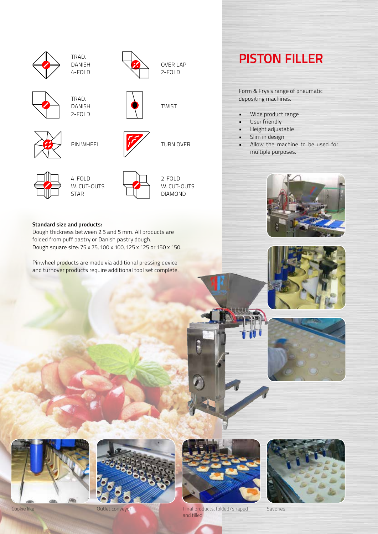









OVER LAP 2-FOLD

TWIST

## **Standard size and products:**

Dough thickness between 2.5 and 5 mm. All products are folded from puff pastry or Danish pastry dough. Dough square size: 75 x 75, 100 x 100, 125 x 125 or 150 x 150.

Pinwheel products are made via additional pressing device and turnover products require additional tool set complete.

# **PISTON FILLER**

Form & Frys's range of pneumatic depositing machines.

- Wide product range
- User friendly
- Height adjustable
- Slim in design
- Allow the machine to be used for multiple purposes.













Cookie like Outlet conveyor Final products, folded/shaped and filled